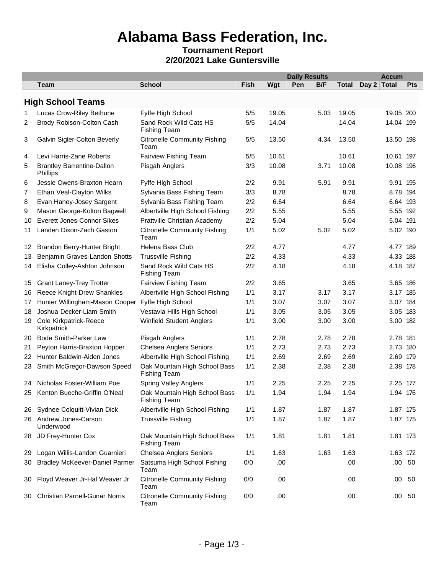# **Alabama Bass Federation, Inc.**

#### **Tournament Report 2/20/2021 Lake Guntersville**

|     |                                               |                                                      |      |       | <b>Daily Results</b> |      |              | <b>Accum</b> |           |  |
|-----|-----------------------------------------------|------------------------------------------------------|------|-------|----------------------|------|--------------|--------------|-----------|--|
|     | <b>Team</b>                                   | <b>School</b>                                        | Fish | Wgt   | Pen                  | B/F  | <b>Total</b> | Day 2 Total  | Pts       |  |
|     | <b>High School Teams</b>                      |                                                      |      |       |                      |      |              |              |           |  |
| 1   | Lucas Crow-Riley Bethune                      | Fyffe High School                                    | 5/5  | 19.05 |                      | 5.03 | 19.05        | 19.05 200    |           |  |
| 2   | Brody Robison-Colton Cash                     | Sand Rock Wild Cats HS<br><b>Fishing Team</b>        | 5/5  | 14.04 |                      |      | 14.04        | 14.04 199    |           |  |
| 3   | Galvin Sigler-Colton Beverly                  | <b>Citronelle Community Fishing</b><br>Team          | 5/5  | 13.50 |                      | 4.34 | 13.50        | 13.50 198    |           |  |
| 4   | Levi Harris-Zane Roberts                      | Fairview Fishing Team                                | 5/5  | 10.61 |                      |      | 10.61        | 10.61 197    |           |  |
| 5   | <b>Brantley Barrentine-Dallon</b><br>Phillips | Pisgah Anglers                                       | 3/3  | 10.08 |                      | 3.71 | 10.08        | 10.08 196    |           |  |
| 6   | Jessie Owens-Braxton Hearn                    | Fyffe High School                                    | 2/2  | 9.91  |                      | 5.91 | 9.91         | 9.91 195     |           |  |
| 7   | Ethan Veal-Clayton Wilks                      | Sylvania Bass Fishing Team                           | 3/3  | 8.78  |                      |      | 8.78         | 8.78 194     |           |  |
| 8   | Evan Haney-Josey Sargent                      | Sylvania Bass Fishing Team                           | 2/2  | 6.64  |                      |      | 6.64         | 6.64 193     |           |  |
| 9   | Mason George-Kolton Bagwell                   | Albertville High School Fishing                      | 2/2  | 5.55  |                      |      | 5.55         | 5.55 192     |           |  |
| 10  | Everett Jones-Connor Sikes                    | Prattville Christian Academy                         | 2/2  | 5.04  |                      |      | 5.04         | 5.04 191     |           |  |
| 11  | Landen Dixon-Zach Gaston                      | <b>Citronelle Community Fishing</b><br>Team          | 1/1  | 5.02  |                      | 5.02 | 5.02         | 5.02 190     |           |  |
| 12  | Brandon Berry-Hunter Bright                   | Helena Bass Club                                     | 2/2  | 4.77  |                      |      | 4.77         | 4.77 189     |           |  |
| 13  | Benjamin Graves-Landon Shotts                 | <b>Trussville Fishing</b>                            | 2/2  | 4.33  |                      |      | 4.33         | 4.33 188     |           |  |
| 14  | Elisha Colley-Ashton Johnson                  | Sand Rock Wild Cats HS<br><b>Fishing Team</b>        | 2/2  | 4.18  |                      |      | 4.18         | 4.18 187     |           |  |
| 15  | <b>Grant Laney-Trey Trotter</b>               | Fairview Fishing Team                                | 2/2  | 3.65  |                      |      | 3.65         | 3.65 186     |           |  |
| 16  | Reece Knight-Drew Shankles                    | Albertville High School Fishing                      | 1/1  | 3.17  |                      | 3.17 | 3.17         | 3.17 185     |           |  |
| 17  | Hunter Willingham-Mason Cooper                | Fyffe High School                                    | 1/1  | 3.07  |                      | 3.07 | 3.07         | 3.07 184     |           |  |
| 18  | Joshua Decker-Liam Smith                      | Vestavia Hills High School                           | 1/1  | 3.05  |                      | 3.05 | 3.05         | 3.05 183     |           |  |
| 19  | Cole Kirkpatrick-Reece<br>Kirkpatrick         | Winfield Student Anglers                             | 1/1  | 3.00  |                      | 3.00 | 3.00         | 3.00 182     |           |  |
| 20  | <b>Bode Smith-Parker Law</b>                  | Pisgah Anglers                                       | 1/1  | 2.78  |                      | 2.78 | 2.78         | 2.78 181     |           |  |
| 21  | Peyton Harris-Braxton Hopper                  | <b>Chelsea Anglers Seniors</b>                       | 1/1  | 2.73  |                      | 2.73 | 2.73         | 2.73 180     |           |  |
| 22  | Hunter Baldwin-Aiden Jones                    | Albertville High School Fishing                      | 1/1  | 2.69  |                      | 2.69 | 2.69         | 2.69 179     |           |  |
| 23  | Smith McGregor-Dawson Speed                   | Oak Mountain High School Bass<br><b>Fishing Team</b> | 1/1  | 2.38  |                      | 2.38 | 2.38         | 2.38 178     |           |  |
| 24  | Nicholas Foster-William Poe                   | Spring Valley Anglers                                | 1/1  | 2.25  |                      | 2.25 | 2.25         | 2.25 177     |           |  |
| 25  | Kenton Bueche-Griffin O'Neal                  | Oak Mountain High School Bass<br><b>Fishing Team</b> | 1/1  | 1.94  |                      | 1.94 | 1.94         | 1.94 176     |           |  |
| 26. | Sydnee Colquitt-Vivian Dick                   | Albertville High School Fishing                      | 1/1  | 1.87  |                      | 1.87 | 1.87         | 1.87 175     |           |  |
| 26  | Andrew Jones-Carson<br>Underwood              | <b>Trussville Fishing</b>                            | 1/1  | 1.87  |                      | 1.87 | 1.87         | 1.87 175     |           |  |
| 28  | JD Frey-Hunter Cox                            | Oak Mountain High School Bass<br><b>Fishing Team</b> | 1/1  | 1.81  |                      | 1.81 | 1.81         | 1.81 173     |           |  |
| 29  | Logan Willis-Landon Guarnieri                 | <b>Chelsea Anglers Seniors</b>                       | 1/1  | 1.63  |                      | 1.63 | 1.63         | 1.63 172     |           |  |
| 30  | <b>Bradley McKeever-Daniel Parmer</b>         | Satsuma High School Fishing<br>Team                  | 0/0  | .00   |                      |      | .00          |              | .00 50    |  |
| 30  | Floyd Weaver Jr-Hal Weaver Jr                 | <b>Citronelle Community Fishing</b><br>Team          | 0/0  | .00   |                      |      | .00          |              | $.00\ 50$ |  |
| 30  | <b>Christian Parnell-Gunar Norris</b>         | <b>Citronelle Community Fishing</b><br>Team          | 0/0  | .00   |                      |      | .00          |              | $.00\ 50$ |  |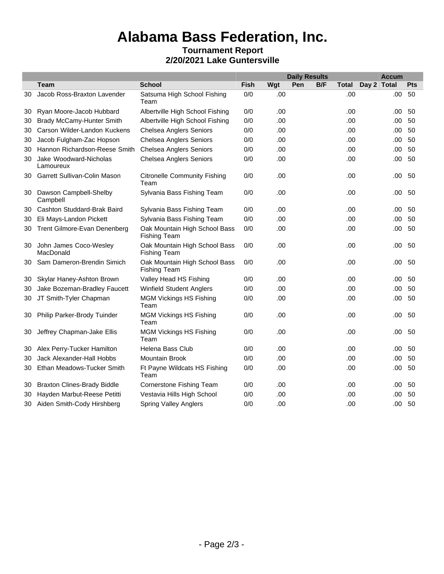# **Alabama Bass Federation, Inc.**

#### **Tournament Report 2/20/2021 Lake Guntersville**

|    |                                     |                                                      |      |     | <b>Daily Results</b> |     |              | <b>Accum</b> |      |     |
|----|-------------------------------------|------------------------------------------------------|------|-----|----------------------|-----|--------------|--------------|------|-----|
|    | <b>Team</b>                         | <b>School</b>                                        | Fish | Wgt | Pen                  | B/F | <b>Total</b> | Day 2 Total  |      | Pts |
| 30 | Jacob Ross-Braxton Lavender         | Satsuma High School Fishing<br>Team                  | 0/0  | .00 |                      |     | .00          |              | .00  | 50  |
| 30 | Ryan Moore-Jacob Hubbard            | Albertville High School Fishing                      | 0/0  | .00 |                      |     | .00          |              | .00  | 50  |
| 30 | <b>Brady McCamy-Hunter Smith</b>    | Albertville High School Fishing                      | 0/0  | .00 |                      |     | .00          |              | .00  | 50  |
| 30 | Carson Wilder-Landon Kuckens        | <b>Chelsea Anglers Seniors</b>                       | 0/0  | .00 |                      |     | .00          |              | .00  | 50  |
| 30 | Jacob Fulgham-Zac Hopson            | <b>Chelsea Anglers Seniors</b>                       | 0/0  | .00 |                      |     | .00          |              | .00  | 50  |
| 30 | Hannon Richardson-Reese Smith       | <b>Chelsea Anglers Seniors</b>                       | 0/0  | .00 |                      |     | .00          |              | .00  | 50  |
| 30 | Jake Woodward-Nicholas<br>Lamoureux | <b>Chelsea Anglers Seniors</b>                       | 0/0  | .00 |                      |     | .00          |              | .00  | 50  |
| 30 | Garrett Sullivan-Colin Mason        | <b>Citronelle Community Fishing</b><br>Team          | 0/0  | .00 |                      |     | .00          |              | .00  | 50  |
| 30 | Dawson Campbell-Shelby<br>Campbell  | Sylvania Bass Fishing Team                           | 0/0  | .00 |                      |     | .00          |              | .00  | 50  |
| 30 | Cashton Studdard-Brak Baird         | Sylvania Bass Fishing Team                           | 0/0  | .00 |                      |     | .00          |              | .00  | 50  |
| 30 | Eli Mays-Landon Pickett             | Sylvania Bass Fishing Team                           | 0/0  | .00 |                      |     | .00          |              | .00  | 50  |
| 30 | Trent Gilmore-Evan Denenberg        | Oak Mountain High School Bass<br><b>Fishing Team</b> | 0/0  | .00 |                      |     | .00          |              | .00  | 50  |
| 30 | John James Coco-Wesley<br>MacDonald | Oak Mountain High School Bass<br><b>Fishing Team</b> | 0/0  | .00 |                      |     | .00          |              | .00  | 50  |
| 30 | Sam Dameron-Brendin Simich          | Oak Mountain High School Bass<br><b>Fishing Team</b> | 0/0  | .00 |                      |     | .00          |              | .00  | 50  |
| 30 | Skylar Haney-Ashton Brown           | Valley Head HS Fishing                               | 0/0  | .00 |                      |     | .00          |              | .00  | 50  |
| 30 | Jake Bozeman-Bradley Faucett        | <b>Winfield Student Anglers</b>                      | 0/0  | .00 |                      |     | .00          |              | .00  | 50  |
| 30 | JT Smith-Tyler Chapman              | <b>MGM Vickings HS Fishing</b><br>Team               | 0/0  | .00 |                      |     | .00          |              | .00  | 50  |
| 30 | Philip Parker-Brody Tuinder         | <b>MGM Vickings HS Fishing</b><br>Team               | 0/0  | .00 |                      |     | .00          |              | .00  | 50  |
| 30 | Jeffrey Chapman-Jake Ellis          | <b>MGM Vickings HS Fishing</b><br>Team               | 0/0  | .00 |                      |     | .00          |              | .00  | 50  |
| 30 | Alex Perry-Tucker Hamilton          | Helena Bass Club                                     | 0/0  | .00 |                      |     | .00          |              | .00  | 50  |
| 30 | Jack Alexander-Hall Hobbs           | <b>Mountain Brook</b>                                | 0/0  | .00 |                      |     | .00          |              | .00  | 50  |
| 30 | Ethan Meadows-Tucker Smith          | Ft Payne Wildcats HS Fishing<br>Team                 | 0/0  | .00 |                      |     | .00          |              | .00  | 50  |
| 30 | <b>Braxton Clines-Brady Biddle</b>  | <b>Cornerstone Fishing Team</b>                      | 0/0  | .00 |                      |     | .00          |              | .00  | 50  |
| 30 | Hayden Marbut-Reese Petitti         | Vestavia Hills High School                           | 0/0  | .00 |                      |     | .00          |              | .00  | 50  |
| 30 | Aiden Smith-Cody Hirshberg          | <b>Spring Valley Anglers</b>                         | 0/0  | .00 |                      |     | .00          |              | .00. | 50  |